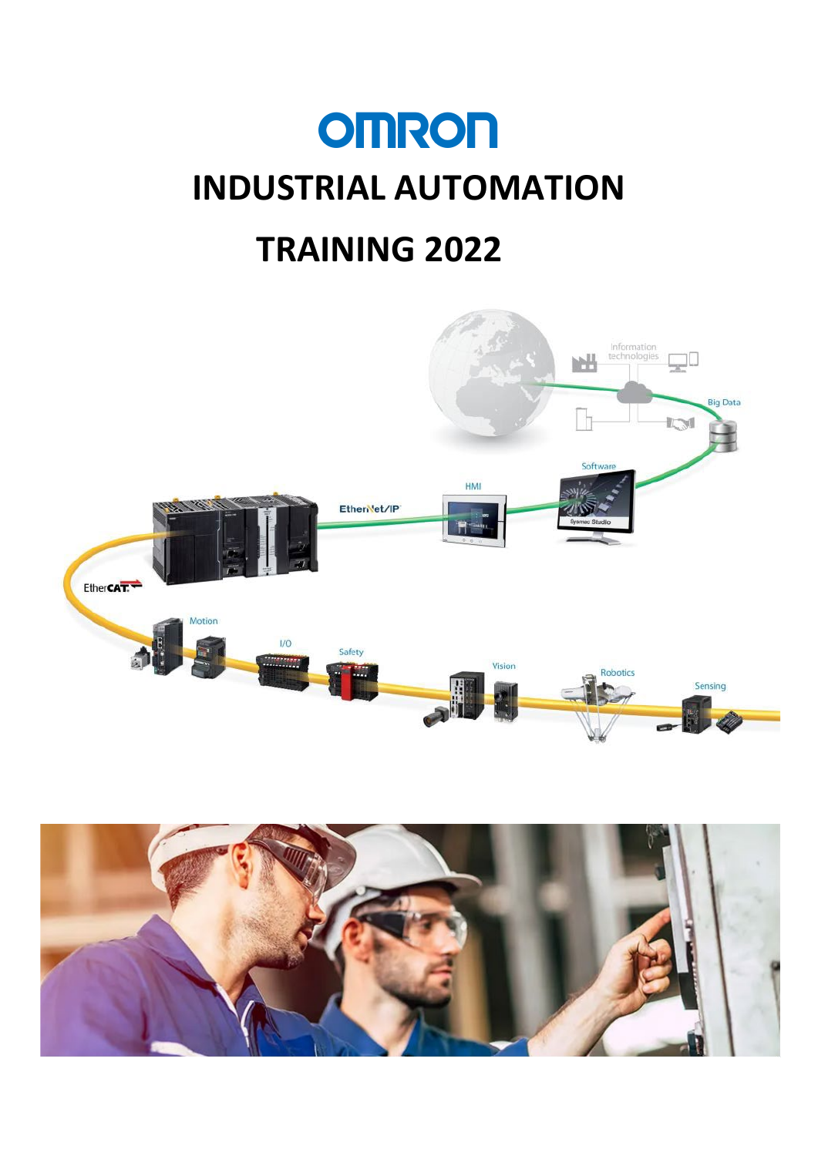# **OMRON INDUSTRIAL AUTOMATION TRAINING 2022**



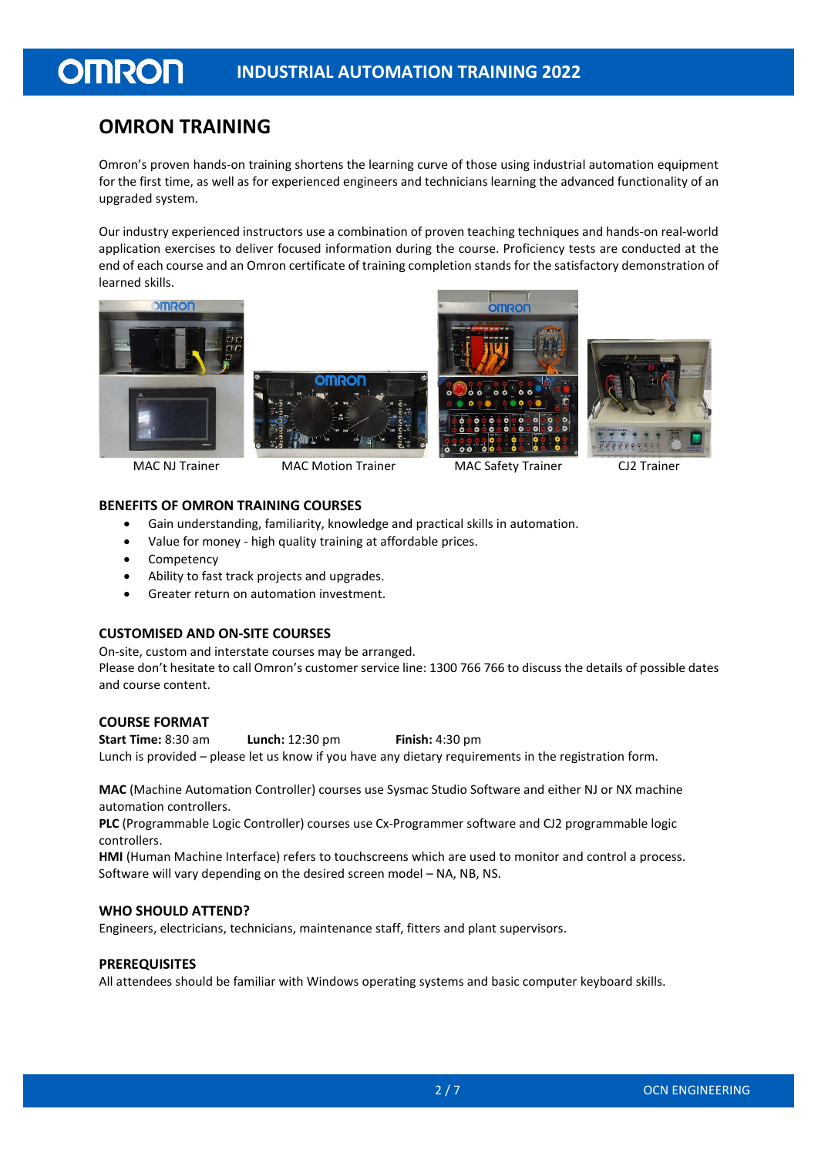## **OMRON TRAINING**

**OMRON** 

Omron's proven hands-on training shortens the learning curve of those using industrial automation equipment for the first time, as well as for experienced engineers and technicians learning the advanced functionality of an upgraded system.

Our industry experienced instructors use a combination of proven teaching techniques and hands-on real-world application exercises to deliver focused information during the course. Proficiency tests are conducted at the end of each course and an Omron certificate of training completion stands for the satisfactory demonstration of learned skills.









MAC NJ Trainer MAC Motion Trainer MAC Safety Trainer CJ2 Trainer

#### **BENEFITS OF OMRON TRAINING COURSES**

- Gain understanding, familiarity, knowledge and practical skills in automation.
- Value for money high quality training at affordable prices.
- **Competency**
- Ability to fast track projects and upgrades.
- Greater return on automation investment.

### **CUSTOMISED AND ON-SITE COURSES**

On-site, custom and interstate courses may be arranged.

Please don't hesitate to call Omron's customer service line: 1300 766 766 to discuss the details of possible dates and course content.

#### **COURSE FORMAT**

**Start Time:** 8:30 am **Lunch:** 12:30 pm **Finish:** 4:30 pm Lunch is provided – please let us know if you have any dietary requirements in the registration form.

**MAC** (Machine Automation Controller) courses use Sysmac Studio Software and either NJ or NX machine automation controllers.

**PLC** (Programmable Logic Controller) courses use Cx-Programmer software and CJ2 programmable logic controllers.

**HMI** (Human Machine Interface) refers to touchscreens which are used to monitor and control a process. Software will vary depending on the desired screen model – NA, NB, NS.

#### **WHO SHOULD ATTEND?**

Engineers, electricians, technicians, maintenance staff, fitters and plant supervisors.

### **PREREQUISITES**

All attendees should be familiar with Windows operating systems and basic computer keyboard skills.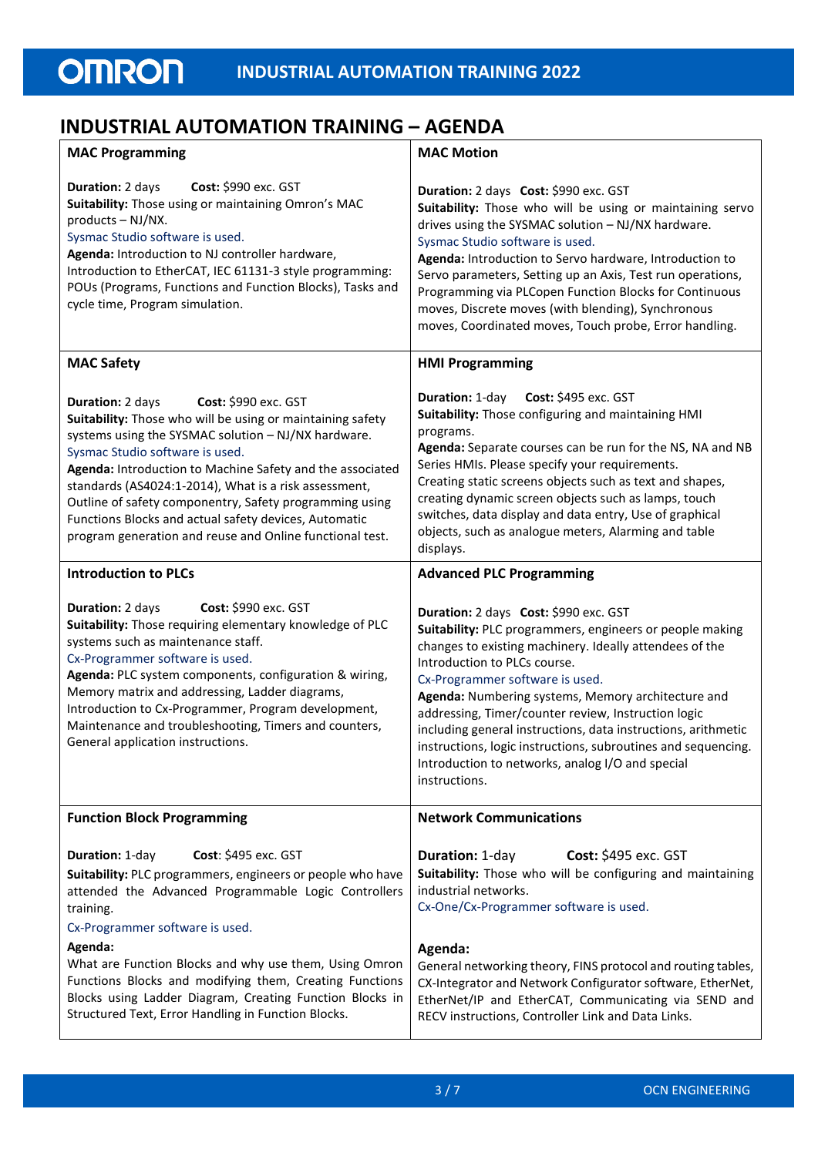## **INDUSTRIAL AUTOMATION TRAINING – AGENDA**

| <b>MAC Programming</b>                                                                                                                                                                                                                                                                                                                                                                                                                                                                                 | <b>MAC Motion</b>                                                                                                                                                                                                                                                                                                                                                                                                                                                                                                                                   |  |  |  |  |
|--------------------------------------------------------------------------------------------------------------------------------------------------------------------------------------------------------------------------------------------------------------------------------------------------------------------------------------------------------------------------------------------------------------------------------------------------------------------------------------------------------|-----------------------------------------------------------------------------------------------------------------------------------------------------------------------------------------------------------------------------------------------------------------------------------------------------------------------------------------------------------------------------------------------------------------------------------------------------------------------------------------------------------------------------------------------------|--|--|--|--|
| Cost: \$990 exc. GST<br>Duration: 2 days<br>Suitability: Those using or maintaining Omron's MAC<br>products - NJ/NX.<br>Sysmac Studio software is used.<br>Agenda: Introduction to NJ controller hardware,<br>Introduction to EtherCAT, IEC 61131-3 style programming:<br>POUs (Programs, Functions and Function Blocks), Tasks and<br>cycle time, Program simulation.                                                                                                                                 | Duration: 2 days Cost: \$990 exc. GST<br>Suitability: Those who will be using or maintaining servo<br>drives using the SYSMAC solution - NJ/NX hardware.<br>Sysmac Studio software is used.<br>Agenda: Introduction to Servo hardware, Introduction to<br>Servo parameters, Setting up an Axis, Test run operations,<br>Programming via PLCopen Function Blocks for Continuous<br>moves, Discrete moves (with blending), Synchronous<br>moves, Coordinated moves, Touch probe, Error handling.                                                      |  |  |  |  |
| <b>MAC Safety</b>                                                                                                                                                                                                                                                                                                                                                                                                                                                                                      | <b>HMI Programming</b>                                                                                                                                                                                                                                                                                                                                                                                                                                                                                                                              |  |  |  |  |
| Cost: \$990 exc. GST<br>Duration: 2 days<br>Suitability: Those who will be using or maintaining safety<br>systems using the SYSMAC solution - NJ/NX hardware.<br>Sysmac Studio software is used.<br>Agenda: Introduction to Machine Safety and the associated<br>standards (AS4024:1-2014), What is a risk assessment,<br>Outline of safety componentry, Safety programming using<br>Functions Blocks and actual safety devices, Automatic<br>program generation and reuse and Online functional test. | Duration: 1-day<br>Cost: \$495 exc. GST<br>Suitability: Those configuring and maintaining HMI<br>programs.<br>Agenda: Separate courses can be run for the NS, NA and NB<br>Series HMIs. Please specify your requirements.<br>Creating static screens objects such as text and shapes,<br>creating dynamic screen objects such as lamps, touch<br>switches, data display and data entry, Use of graphical<br>objects, such as analogue meters, Alarming and table<br>displays.                                                                       |  |  |  |  |
| <b>Introduction to PLCs</b>                                                                                                                                                                                                                                                                                                                                                                                                                                                                            | <b>Advanced PLC Programming</b>                                                                                                                                                                                                                                                                                                                                                                                                                                                                                                                     |  |  |  |  |
| Cost: \$990 exc. GST<br>Duration: 2 days<br>Suitability: Those requiring elementary knowledge of PLC<br>systems such as maintenance staff.<br>Cx-Programmer software is used.<br>Agenda: PLC system components, configuration & wiring,<br>Memory matrix and addressing, Ladder diagrams,<br>Introduction to Cx-Programmer, Program development,<br>Maintenance and troubleshooting, Timers and counters,<br>General application instructions.                                                         | Duration: 2 days Cost: \$990 exc. GST<br>Suitability: PLC programmers, engineers or people making<br>changes to existing machinery. Ideally attendees of the<br>Introduction to PLCs course.<br>Cx-Programmer software is used.<br>Agenda: Numbering systems, Memory architecture and<br>addressing, Timer/counter review, Instruction logic<br>including general instructions, data instructions, arithmetic<br>instructions, logic instructions, subroutines and sequencing.<br>Introduction to networks, analog I/O and special<br>instructions. |  |  |  |  |
| <b>Function Block Programming</b>                                                                                                                                                                                                                                                                                                                                                                                                                                                                      | <b>Network Communications</b>                                                                                                                                                                                                                                                                                                                                                                                                                                                                                                                       |  |  |  |  |
| Cost: \$495 exc. GST<br>Duration: 1-day<br>Suitability: PLC programmers, engineers or people who have<br>attended the Advanced Programmable Logic Controllers<br>training.<br>Cx-Programmer software is used.<br>Agenda:<br>What are Function Blocks and why use them, Using Omron                                                                                                                                                                                                                     | <b>Cost: \$495 exc. GST</b><br>Duration: 1-day<br>Suitability: Those who will be configuring and maintaining<br>industrial networks.<br>Cx-One/Cx-Programmer software is used.<br>Agenda:<br>General networking theory, FINS protocol and routing tables,                                                                                                                                                                                                                                                                                           |  |  |  |  |
| Functions Blocks and modifying them, Creating Functions<br>Blocks using Ladder Diagram, Creating Function Blocks in<br>Structured Text, Error Handling in Function Blocks.                                                                                                                                                                                                                                                                                                                             | CX-Integrator and Network Configurator software, EtherNet,<br>EtherNet/IP and EtherCAT, Communicating via SEND and<br>RECV instructions, Controller Link and Data Links.                                                                                                                                                                                                                                                                                                                                                                            |  |  |  |  |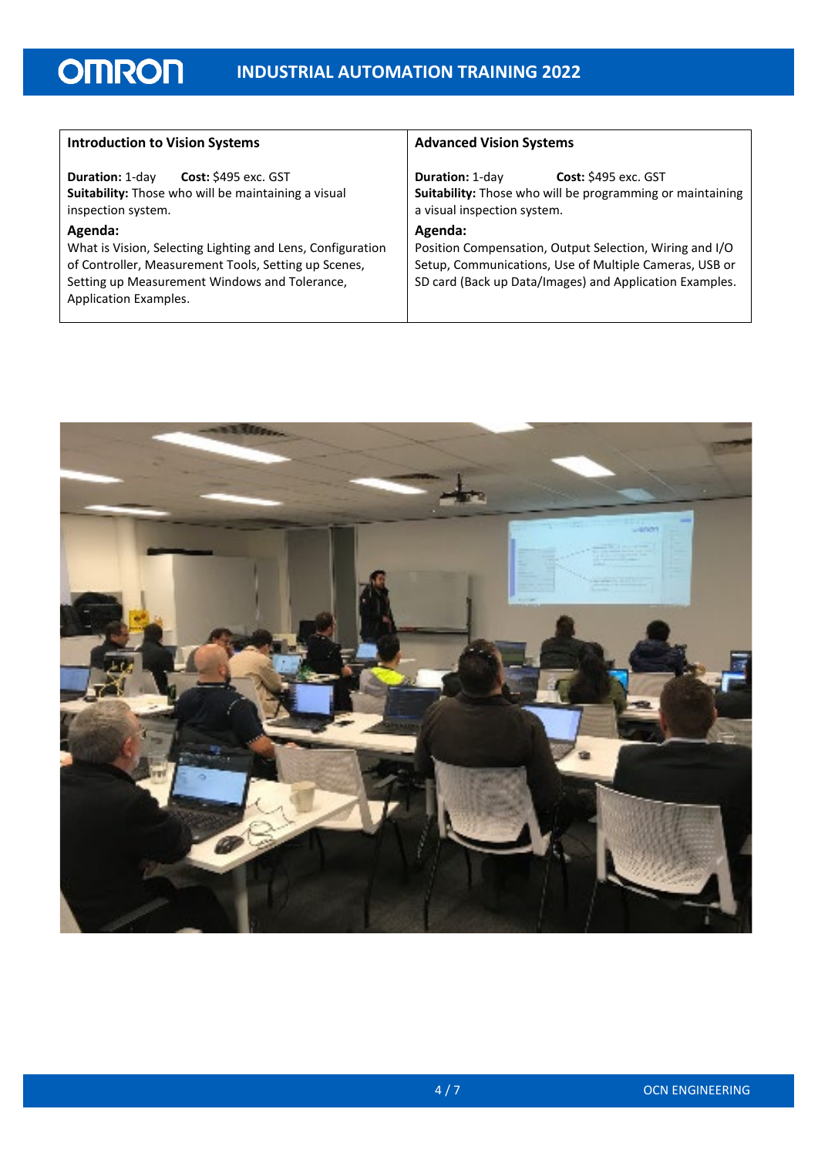| <b>Introduction to Vision Systems</b>                                  | <b>Advanced Vision Systems</b>                            |  |  |  |  |  |
|------------------------------------------------------------------------|-----------------------------------------------------------|--|--|--|--|--|
| <b>Cost: \$495 exc. GST</b>                                            | <b>Cost:</b> \$495 exc. GST                               |  |  |  |  |  |
| <b>Duration: 1-day</b>                                                 | <b>Duration: 1-day</b>                                    |  |  |  |  |  |
| Suitability: Those who will be maintaining a visual                    | Suitability: Those who will be programming or maintaining |  |  |  |  |  |
| inspection system.                                                     | a visual inspection system.                               |  |  |  |  |  |
| Agenda:                                                                | Agenda:                                                   |  |  |  |  |  |
| What is Vision, Selecting Lighting and Lens, Configuration             | Position Compensation, Output Selection, Wiring and I/O   |  |  |  |  |  |
| of Controller, Measurement Tools, Setting up Scenes,                   | Setup, Communications, Use of Multiple Cameras, USB or    |  |  |  |  |  |
| Setting up Measurement Windows and Tolerance,<br>Application Examples. | SD card (Back up Data/Images) and Application Examples.   |  |  |  |  |  |

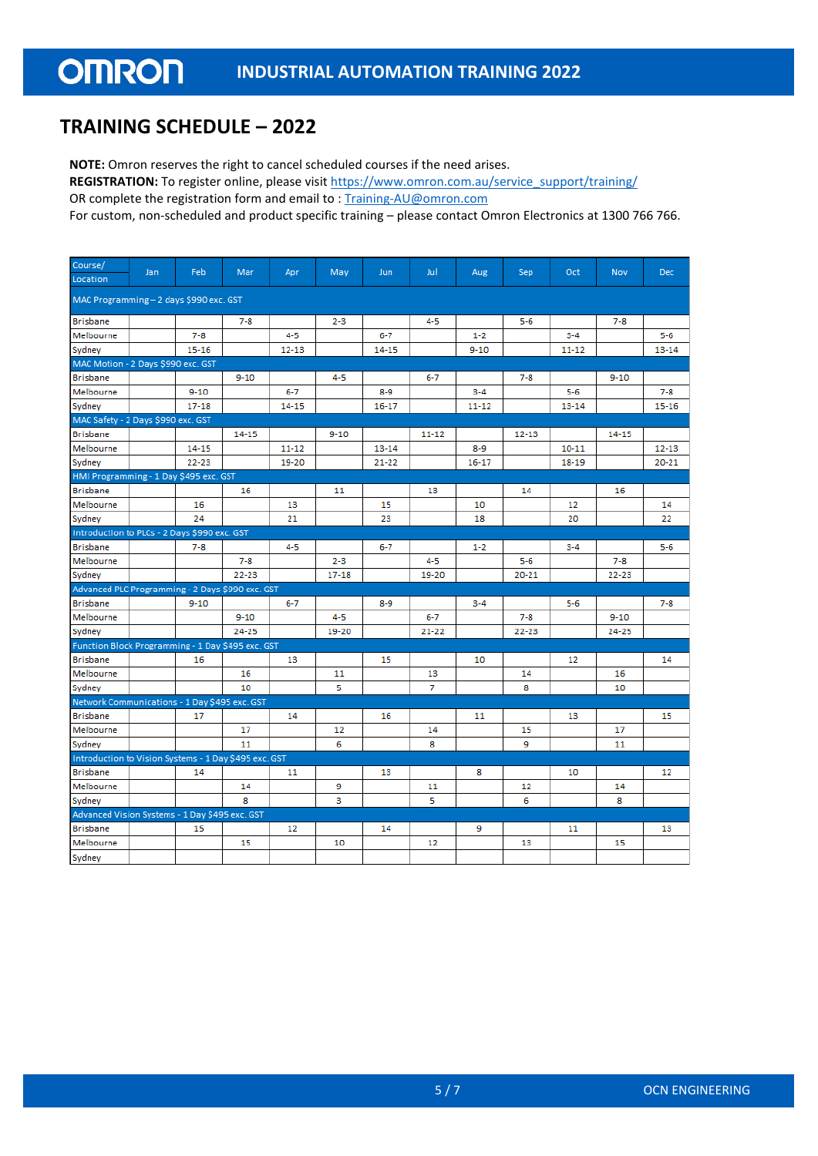## **TRAINING SCHEDULE – 2022**

**NOTE:** Omron reserves the right to cancel scheduled courses if the need arises.

REGISTRATION: To register online, please visi[t https://www.omron.com.au/service\\_support/training/](https://www.omron.com.au/service_support/training/)

OR complete the registration form and email to : [Training-AU@omron.com](mailto:Training-AU@omron.com)

For custom, non-scheduled and product specific training – please contact Omron Electronics at 1300 766 766.

| Course/                                               | Jan | Feb       | Mar       | Apr       | May       | Jun.      | Jul       | Aug       | Sep.      | Oct       | <b>Nov</b> | <b>Dec</b> |
|-------------------------------------------------------|-----|-----------|-----------|-----------|-----------|-----------|-----------|-----------|-----------|-----------|------------|------------|
| Location                                              |     |           |           |           |           |           |           |           |           |           |            |            |
| MAC Programming - 2 days \$990 exc. GST               |     |           |           |           |           |           |           |           |           |           |            |            |
| <b>Brisbane</b>                                       |     |           | $7 - 8$   |           | $2 - 3$   |           | $4 - 5$   |           | $5 - 6$   |           | $7 - 8$    |            |
| Melbourne                                             |     | $7 - 8$   |           | $4 - 5$   |           | $6 - 7$   |           | $1 - 2$   |           | $3 - 4$   |            | $5 - 6$    |
| Sydney                                                |     | $15 - 16$ |           | $12 - 13$ |           | $14 - 15$ |           | $9 - 10$  |           | $11 - 12$ |            | $13 - 14$  |
| MAC Motion - 2 Days \$990 exc. GST                    |     |           |           |           |           |           |           |           |           |           |            |            |
| <b>Brisbane</b>                                       |     |           | $9 - 10$  |           | 4-5       |           | $6 - 7$   |           | $7 - 8$   |           | $9 - 10$   |            |
| Melbourne                                             |     | $9 - 10$  |           | $6 - 7$   |           | $8 - 9$   |           | $3 - 4$   |           | $5 - 6$   |            | $7 - 8$    |
| Sydney                                                |     | $17 - 18$ |           | 14-15     |           | $16 - 17$ |           | $11 - 12$ |           | $13 - 14$ |            | $15 - 16$  |
| MAC Safety - 2 Days \$990 exc. GST                    |     |           |           |           |           |           |           |           |           |           |            |            |
| <b>Brisbane</b>                                       |     |           | $14 - 15$ |           | $9 - 10$  |           | $11 - 12$ |           | $12 - 13$ |           | 14-15      |            |
| Melbourne                                             |     | 14-15     |           | $11 - 12$ |           | $13 - 14$ |           | $8 - 9$   |           | $10 - 11$ |            | $12 - 13$  |
| Sydney                                                |     | $22 - 23$ |           | 19-20     |           | $21 - 22$ |           | $16 - 17$ |           | $18 - 19$ |            | $20 - 21$  |
| HMI Programming - 1 Day \$495 exc. GST                |     |           |           |           |           |           |           |           |           |           |            |            |
| <b>Brisbane</b>                                       |     |           | 16        |           | 11        |           | 13        |           | 14        |           | 16         |            |
| Melbourne                                             |     | 16        |           | 13        |           | 15        |           | 10        |           | 12        |            | 14         |
| Sydney                                                |     | 24        |           | 21        |           | 23        |           | 18        |           | 20        |            | 22         |
| Introduction to PLCs - 2 Days \$990 exc. GST          |     |           |           |           |           |           |           |           |           |           |            |            |
| <b>Brisbane</b>                                       |     | $7 - 8$   |           | 4-5       |           | $6 - 7$   |           | $1 - 2$   |           | $3 - 4$   |            | $5 - 6$    |
| Melbourne                                             |     |           | $7 - 8$   |           | $2 - 3$   |           | $4 - 5$   |           | $5 - 6$   |           | $7 - 8$    |            |
| Sydney                                                |     |           | $22 - 23$ |           | $17 - 18$ |           | 19-20     |           | $20 - 21$ |           | $22 - 23$  |            |
| Advanced PLC Programming - 2 Days \$990 exc. GST      |     |           |           |           |           |           |           |           |           |           |            |            |
| <b>Brisbane</b>                                       |     | $9 - 10$  |           | $6 - 7$   |           | $8 - 9$   |           | $3 - 4$   |           | $5 - 6$   |            | $7 - 8$    |
| Melbourne                                             |     |           | $9 - 10$  |           | $4 - 5$   |           | $6 - 7$   |           | $7 - 8$   |           | $9 - 10$   |            |
| Sydney                                                |     |           | $24 - 25$ |           | 19-20     |           | $21 - 22$ |           | $22 - 23$ |           | 24-25      |            |
| Function Block Programming - 1 Day \$495 exc. GST     |     |           |           |           |           |           |           |           |           |           |            |            |
| <b>Brisbane</b>                                       |     | 16        |           | 13        |           | 15        |           | 10        |           | 12        |            | 14         |
| Melbourne                                             |     |           | 16        |           | 11        |           | 13        |           | 14        |           | 16         |            |
| Sydney                                                |     |           | 10        |           | 5         |           | 7         |           | 8         |           | 10         |            |
| Network Communications - 1 Day \$495 exc. GST         |     |           |           |           |           |           |           |           |           |           |            |            |
| <b>Brisbane</b>                                       |     | 17        |           | 14        |           | 16        |           | 11        |           | 13        |            | 15         |
| Melbourne                                             |     |           | 17        |           | 12        |           | 14        |           | 15        |           | 17         |            |
| Sydney                                                |     |           | 11        |           | 6         |           | 8         |           | 9         |           | 11         |            |
| Introduction to Vision Systems - 1 Day \$495 exc. GST |     |           |           |           |           |           |           |           |           |           |            |            |
| <b>Brisbane</b>                                       |     | 14        |           | 11        |           | 13        |           | 8         |           | 10        |            | 12         |
| Melbourne                                             |     |           | 14        |           | 9         |           | 11        |           | 12        |           | 14         |            |
| Sydney                                                |     |           | 8         |           | 3         |           | 5         |           | 6         |           | 8          |            |
| Advanced Vision Systems - 1 Day \$495 exc. GST        |     |           |           |           |           |           |           |           |           |           |            |            |
| <b>Brisbane</b>                                       |     | 15        |           | 12        |           | 14        |           | 9         |           | 11        |            | 13         |
| Melbourne                                             |     |           | 15        |           | 10        |           | 12        |           | 13        |           | 15         |            |
| Sydney                                                |     |           |           |           |           |           |           |           |           |           |            |            |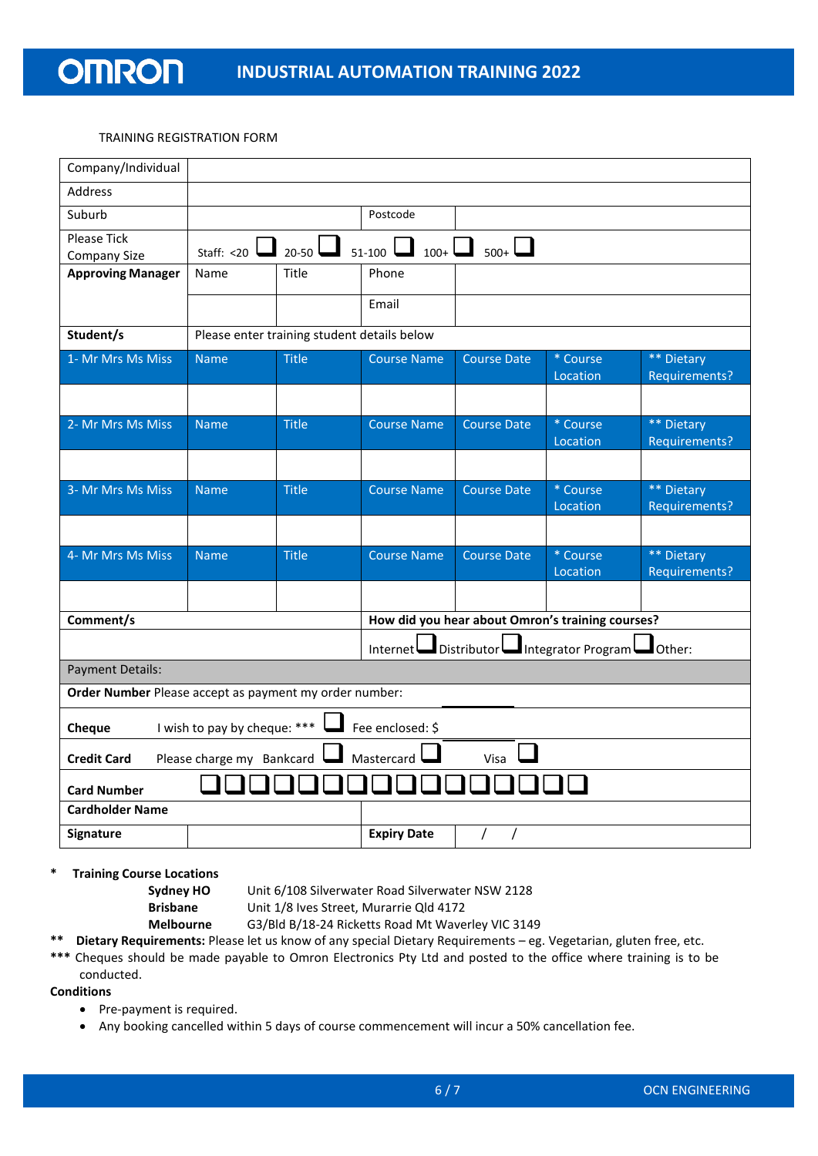#### TRAINING REGISTRATION FORM

| Company/Individual                                                      |                                             |              |                               |                    |                                                  |                             |  |  |
|-------------------------------------------------------------------------|---------------------------------------------|--------------|-------------------------------|--------------------|--------------------------------------------------|-----------------------------|--|--|
| <b>Address</b>                                                          |                                             |              |                               |                    |                                                  |                             |  |  |
| Suburb                                                                  |                                             |              | Postcode                      |                    |                                                  |                             |  |  |
| <b>Please Tick</b><br>Company Size                                      | Staff: <20 $\Box$                           | $20-50$      | $51-100$ $\Box$ $100+$ $\Box$ | $_{500+}$ $\Box$   |                                                  |                             |  |  |
| <b>Approving Manager</b>                                                | Name                                        | Title        | Phone                         |                    |                                                  |                             |  |  |
|                                                                         |                                             |              | Email                         |                    |                                                  |                             |  |  |
| Student/s                                                               | Please enter training student details below |              |                               |                    |                                                  |                             |  |  |
| 1- Mr Mrs Ms Miss                                                       | <b>Name</b>                                 | <b>Title</b> | <b>Course Name</b>            | <b>Course Date</b> | * Course<br>Location                             | ** Dietary<br>Requirements? |  |  |
|                                                                         |                                             |              |                               |                    |                                                  |                             |  |  |
| 2- Mr Mrs Ms Miss                                                       | <b>Name</b>                                 | <b>Title</b> | <b>Course Name</b>            | <b>Course Date</b> | * Course<br>Location                             | ** Dietary<br>Requirements? |  |  |
|                                                                         |                                             |              |                               |                    |                                                  |                             |  |  |
| 3- Mr Mrs Ms Miss                                                       | <b>Name</b>                                 | <b>Title</b> | <b>Course Name</b>            | <b>Course Date</b> | * Course<br>Location                             | ** Dietary<br>Requirements? |  |  |
|                                                                         |                                             |              |                               |                    |                                                  |                             |  |  |
| 4- Mr Mrs Ms Miss                                                       | <b>Name</b>                                 | <b>Title</b> | <b>Course Name</b>            | <b>Course Date</b> | * Course<br>Location                             | ** Dietary<br>Requirements? |  |  |
|                                                                         |                                             |              |                               |                    |                                                  |                             |  |  |
| Comment/s                                                               |                                             |              |                               |                    | How did you hear about Omron's training courses? |                             |  |  |
|                                                                         |                                             |              | Internet                      | Distributor        | Integrator Program                               | $J$ Other:                  |  |  |
| <b>Payment Details:</b>                                                 |                                             |              |                               |                    |                                                  |                             |  |  |
| Order Number Please accept as payment my order number:                  |                                             |              |                               |                    |                                                  |                             |  |  |
| I wish to pay by cheque: ***<br>Fee enclosed: \$<br>Cheque              |                                             |              |                               |                    |                                                  |                             |  |  |
| Please charge my Bankcard<br>Mastercard I<br><b>Credit Card</b><br>Visa |                                             |              |                               |                    |                                                  |                             |  |  |
| <b>Card Number</b>                                                      |                                             |              |                               |                    |                                                  |                             |  |  |
| <b>Cardholder Name</b>                                                  |                                             |              |                               |                    |                                                  |                             |  |  |
| Signature                                                               |                                             |              | <b>Expiry Date</b>            | $\prime$           |                                                  |                             |  |  |

**Training Course Locations** 

**Sydney HO** Unit 6/108 Silverwater Road Silverwater NSW 2128

**Brisbane** Unit 1/8 Ives Street, Murarrie Qld 4172

**Melbourne** G3/Bld B/18-24 Ricketts Road Mt Waverley VIC 3149

**\*\* Dietary Requirements:** Please let us know of any special Dietary Requirements – eg. Vegetarian, gluten free, etc.

**\*\*\*** Cheques should be made payable to Omron Electronics Pty Ltd and posted to the office where training is to be conducted.

#### **Conditions**

- Pre-payment is required.
- Any booking cancelled within 5 days of course commencement will incur a 50% cancellation fee.